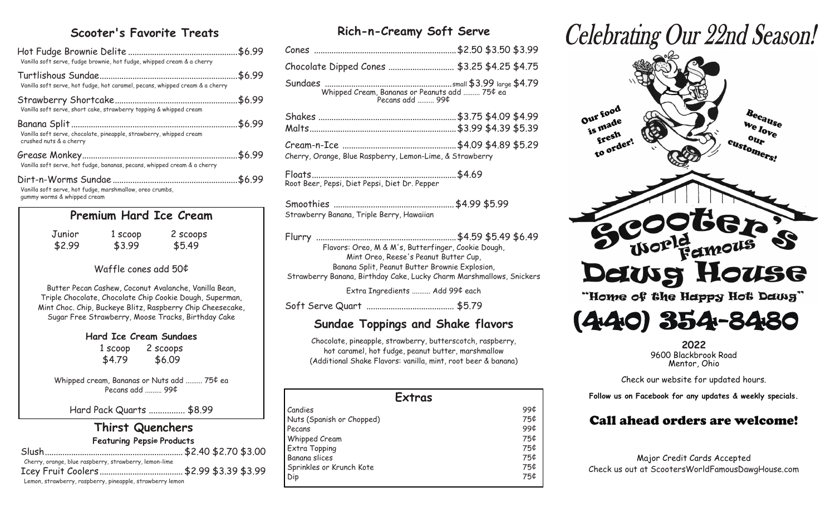## **Scooter's Favorite Treats**

| Vanilla soft serve, fudge brownie, hot fudge, whipped cream & a cherry                         |                                                      |                                                                                                                                                                                                                                       |  |
|------------------------------------------------------------------------------------------------|------------------------------------------------------|---------------------------------------------------------------------------------------------------------------------------------------------------------------------------------------------------------------------------------------|--|
| Vanilla soft serve, hot fudge, hot caramel, pecans, whipped cream & a cherry                   |                                                      |                                                                                                                                                                                                                                       |  |
| Vanilla soft serve, short cake, strawberry topping & whipped cream                             |                                                      |                                                                                                                                                                                                                                       |  |
| Vanilla soft serve, chocolate, pineapple, strawberry, whipped cream<br>crushed nuts & a cherry |                                                      |                                                                                                                                                                                                                                       |  |
| Vanilla soft serve, hot fudge, bananas, pecans, whipped cream & a cherry                       |                                                      |                                                                                                                                                                                                                                       |  |
| Vanilla soft serve, hot fudge, marshmallow, oreo crumbs,<br>gummy worms & whipped cream        |                                                      |                                                                                                                                                                                                                                       |  |
|                                                                                                | Premium Hard Ice Cream                               |                                                                                                                                                                                                                                       |  |
| Junior<br>\$2.99                                                                               | $$3.99$ $$5.49$                                      | 1 scoop 2 scoops                                                                                                                                                                                                                      |  |
|                                                                                                | Waffle cones add 50¢                                 |                                                                                                                                                                                                                                       |  |
|                                                                                                |                                                      | Butter Pecan Cashew, Coconut Avalanche, Vanilla Bean,<br>Triple Chocolate, Chocolate Chip Cookie Dough, Superman,<br>Mint Choc. Chip, Buckeye Blitz, Raspberry Chip Cheesecake,<br>Sugar Free Strawberry, Moose Tracks, Birthday Cake |  |
|                                                                                                | <b>Hard Ice Cream Sundaes</b>                        |                                                                                                                                                                                                                                       |  |
|                                                                                                | 1 scoop 2 scoops                                     |                                                                                                                                                                                                                                       |  |
|                                                                                                | $$4.79$ $$6.09$                                      |                                                                                                                                                                                                                                       |  |
|                                                                                                | Pecans add  99¢                                      | Whipped cream, Bananas or Nuts add  75¢ ea                                                                                                                                                                                            |  |
|                                                                                                | Hard Pack Quarts  \$8.99                             |                                                                                                                                                                                                                                       |  |
| Cherry, orange, blue raspberry, strawberry, lemon-lime                                         | <b>Thirst Quenchers</b><br>Featuring Pepsi® Products |                                                                                                                                                                                                                                       |  |
|                                                                                                |                                                      |                                                                                                                                                                                                                                       |  |

Lemon, strawberry, raspberry, pineapple, strawberry lemon

**Rich-n-Creamy Soft Serve**

| Chocolate Dipped Cones  \$3.25 \$4.25 \$4.75                                   |                      |
|--------------------------------------------------------------------------------|----------------------|
| Whipped Cream, Bananas or Peanuts add  75¢ ea<br>Pecans add $\ldots$ 99 $\phi$ |                      |
|                                                                                |                      |
| Cherry, Orange, Blue Raspberry, Lemon-Lime, & Strawberry                       | \$4.09 \$4.89 \$5.29 |
| Root Beer, Pepsi, Diet Pepsi, Diet Dr. Pepper                                  |                      |

| Strawberry Banana, Triple Berry, Hawaiian |  |
|-------------------------------------------|--|

Flurry ................................................................\$4.59 \$5.49 \$6.49 Flavors: Oreo, M & M's, Butterfinger, Cookie Dough, Mint Oreo, Reese's Peanut Butter Cup, Banana Split, Peanut Butter Brownie Explosion, Strawberry Banana, Birthday Cake, Lucky Charm Marshmallows, Snickers

Extra Ingredients .......... Add 99¢ each

Soft Serve Quart ........................................ \$5.79

## **Sundae Toppings and Shake flavors**

Chocolate, pineapple, strawberry, butterscotch, raspberry, hot caramel, hot fudge, peanut butter, marshmallow (Additional Shake Flavors: vanilla, mint, root beer & banana)

| <b>Extras</b>             |     |
|---------------------------|-----|
| Candies                   | 99¢ |
| Nuts (Spanish or Chopped) | 75¢ |
| Pecans                    | 99¢ |
| Whipped Cream             | 75¢ |
| Extra Topping             | 75¢ |
| Banana slices             | 75¢ |
| Sprinkles or Krunch Kote  | 75¢ |
| Dip                       | 75¢ |

# Celebrating Our 22nd Season!



(440) 354-8480

**2022** 9600 Blackbrook Road Mentor, Ohio

Check our website for updated hours.

**Follow us on Facebook for any updates & weekly specials.**

# Call ahead orders are welcome!

Major Credit Cards Accepted Check us out at ScootersWorldFamousDawgHouse.com